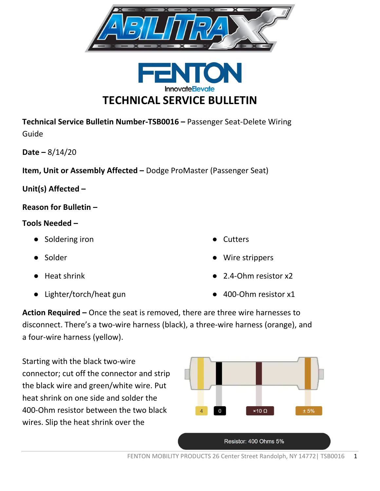



**Technical Service Bulletin Number-TSB0016 –** Passenger Seat-Delete Wiring Guide

**Date –** 8/14/20

**Item, Unit or Assembly Affected –** Dodge ProMaster (Passenger Seat)

**Unit(s) Affected –** 

**Reason for Bulletin –**

## **Tools Needed –**

- Soldering iron
- Solder
- Heat shrink
- Lighter/torch/heat gun
- **Cutters**
- Wire strippers
- 2.4-Ohm resistor x2
- 400-Ohm resistor x1

**Action Required –** Once the seat is removed, there are three wire harnesses to disconnect. There's a two-wire harness (black), a three-wire harness (orange), and a four-wire harness (yellow).

Starting with the black two-wire connector; cut off the connector and strip the black wire and green/white wire. Put heat shrink on one side and solder the 400-Ohm resistor between the two black wires. Slip the heat shrink over the

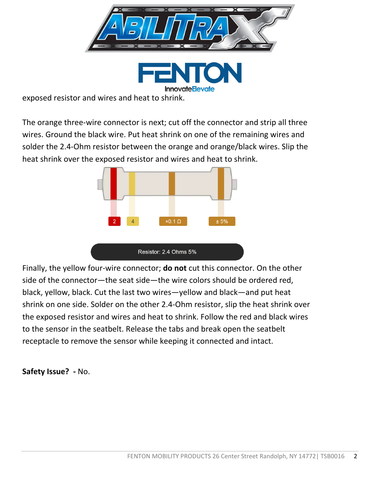

exposed resistor and wires and heat to shrink.

The orange three-wire connector is next; cut off the connector and strip all three wires. Ground the black wire. Put heat shrink on one of the remaining wires and solder the 2.4-Ohm resistor between the orange and orange/black wires. Slip the heat shrink over the exposed resistor and wires and heat to shrink.



Finally, the yellow four-wire connector; **do not** cut this connector. On the other side of the connector—the seat side—the wire colors should be ordered red, black, yellow, black. Cut the last two wires—yellow and black—and put heat shrink on one side. Solder on the other 2.4-Ohm resistor, slip the heat shrink over the exposed resistor and wires and heat to shrink. Follow the red and black wires to the sensor in the seatbelt. Release the tabs and break open the seatbelt receptacle to remove the sensor while keeping it connected and intact.

**Safety Issue? -** No.